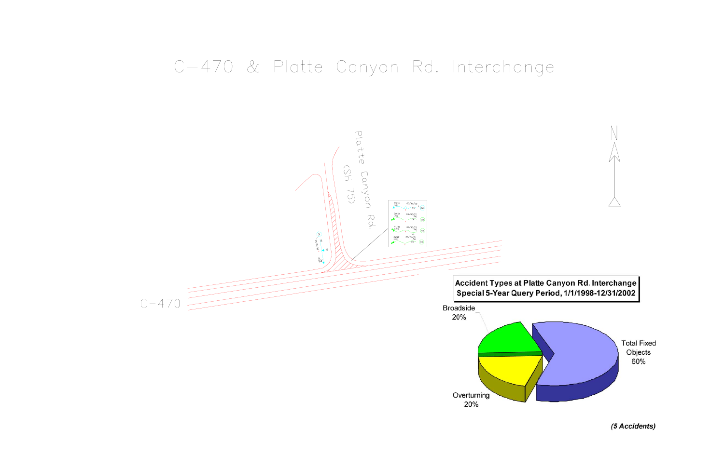## C-470 & Platte Canyon Rd. Interchange







(5 Accidents)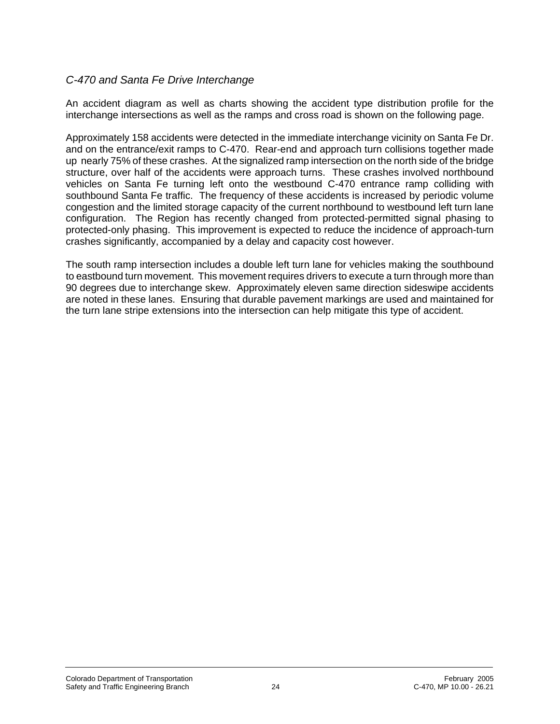## *C-470 and Santa Fe Drive Interchange*

An accident diagram as well as charts showing the accident type distribution profile for the interchange intersections as well as the ramps and cross road is shown on the following page.

Approximately 158 accidents were detected in the immediate interchange vicinity on Santa Fe Dr. and on the entrance/exit ramps to C-470. Rear-end and approach turn collisions together made up nearly 75% of these crashes. At the signalized ramp intersection on the north side of the bridge structure, over half of the accidents were approach turns. These crashes involved northbound vehicles on Santa Fe turning left onto the westbound C-470 entrance ramp colliding with southbound Santa Fe traffic. The frequency of these accidents is increased by periodic volume congestion and the limited storage capacity of the current northbound to westbound left turn lane configuration. The Region has recently changed from protected-permitted signal phasing to protected-only phasing. This improvement is expected to reduce the incidence of approach-turn crashes significantly, accompanied by a delay and capacity cost however.

The south ramp intersection includes a double left turn lane for vehicles making the southbound to eastbound turn movement. This movement requires drivers to execute a turn through more than 90 degrees due to interchange skew. Approximately eleven same direction sideswipe accidents are noted in these lanes. Ensuring that durable pavement markings are used and maintained for the turn lane stripe extensions into the intersection can help mitigate this type of accident.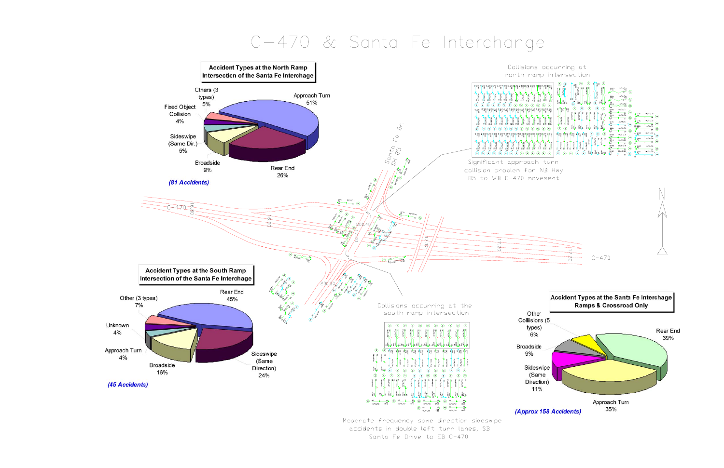# C-470 & Santa Fe Interchange



accidents in double left turn lanes, SB Santa Fe Drive to EB C-470